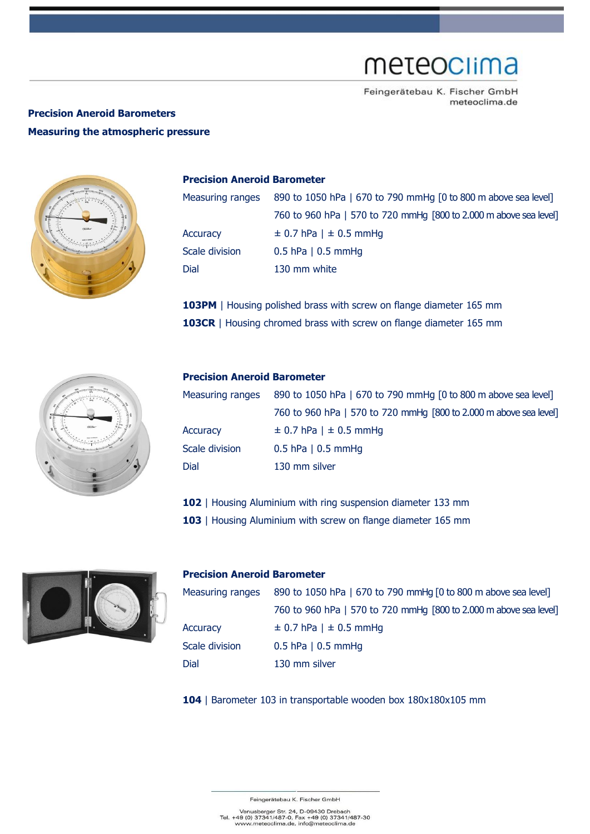# meteoclima

Feingerätebau K. Fischer GmbH meteoclima.de

### **Precision Aneroid Barometers Measuring the atmospheric pressure**



#### **Precision Aneroid Barometer**

| Measuring ranges | 890 to 1050 hPa   670 to 790 mmHg [0 to 800 m above sea level]    |  |
|------------------|-------------------------------------------------------------------|--|
|                  | 760 to 960 hPa   570 to 720 mmHg [800 to 2.000 m above sea level] |  |
| Accuracy         | $\pm$ 0.7 hPa   $\pm$ 0.5 mmHg                                    |  |
| Scale division   | $0.5$ hPa   0.5 mmHg                                              |  |
| Dial             | 130 mm white                                                      |  |
|                  |                                                                   |  |

**103PM** | Housing polished brass with screw on flange diameter 165 mm **103CR** | Housing chromed brass with screw on flange diameter 165 mm



### **Precision Aneroid Barometer**

| Measuring ranges      | 890 to 1050 hPa   670 to 790 mmHg [0 to 800 m above sea level]    |  |
|-----------------------|-------------------------------------------------------------------|--|
|                       | 760 to 960 hPa   570 to 720 mmHg [800 to 2.000 m above sea level] |  |
| Accuracy              | $\pm$ 0.7 hPa   $\pm$ 0.5 mmHg                                    |  |
| <b>Scale division</b> | $0.5$ hPa   0.5 mmHg                                              |  |
| Dial                  | 130 mm silver                                                     |  |

**102** | Housing Aluminium with ring suspension diameter 133 mm

103 | Housing Aluminium with screw on flange diameter 165 mm



#### **Precision Aneroid Barometer**

| Measuring ranges | 890 to 1050 hPa   670 to 790 mmHg [0 to 800 m above sea level]    |  |
|------------------|-------------------------------------------------------------------|--|
|                  | 760 to 960 hPa   570 to 720 mmHg [800 to 2.000 m above sea level] |  |
| Accuracy         | $\pm$ 0.7 hPa   $\pm$ 0.5 mmHg                                    |  |
| Scale division   | $0.5$ hPa   0.5 mmHg                                              |  |
| Dial             | 130 mm silver                                                     |  |

**104** | Barometer 103 in transportable wooden box 180x180x105 mm

Feingerätebau K. Fischer GmbH